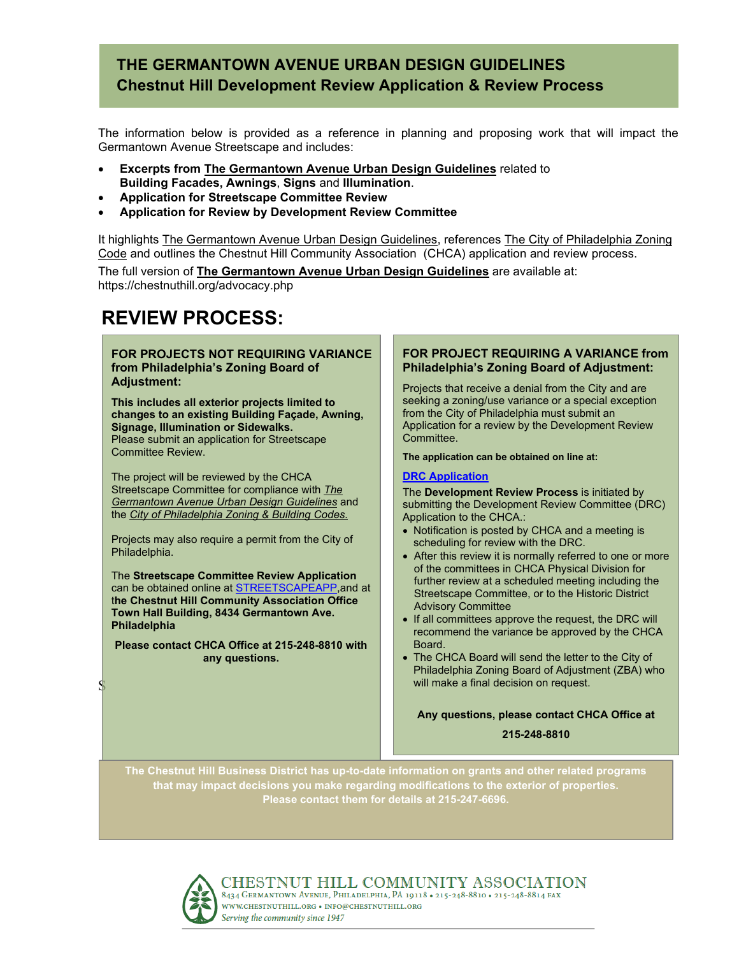# **THE GERMANTOWN AVENUE URBAN DESIGN GUIDELINES Chestnut Hill Development Review Application & Review Process**

The information below is provided as a reference in planning and proposing work that will impact the Germantown Avenue Streetscape and includes:

- **Excerpts from The Germantown Avenue Urban Design Guidelines** related to **Building Facades, Awnings**, **Signs** and **Illumination**.
- **Application for Streetscape Committee Review**
- **Application for Review by Development Review Committee**

It highlights The Germantown Avenue Urban Design Guidelines, references The City of Philadelphia Zoning Code and outlines the Chestnut Hill Community Association (CHCA) application and review process.

The full version of **The Germantown Avenue Urban Design Guidelines** are available at: https://chestnuthill.org/advocacy.php

# **REVIEW PROCESS:**

#### **FOR PROJECTS NOT REQUIRING VARIANCE from Philadelphia's Zoning Board of Adjustment:**

**This includes all exterior projects limited to changes to an existing Building Façade, Awning, Signage, Illumination or Sidewalks.**  Please submit an application for Streetscape Committee Review.

The project will be reviewed by the CHCA Streetscape Committee for compliance with *The Germantown Avenue Urban Design Guidelines* and the *City of Philadelphia Zoning & Building Codes.*

Projects may also require a permit from the City of Philadelphia.

The **Streetscape Committee Review Application** can be obtained online at STREETSCAPEAPP,and at t**he Chestnut Hill Community Association Office Town Hall Building, 8434 Germantown Ave. Philadelphia**

**Please contact CHCA Office at 215-248-8810 with any questions.**

#### **FOR PROJECT REQUIRING A VARIANCE from Philadelphia's Zoning Board of Adjustment:**

Projects that receive a denial from the City and are seeking a zoning/use variance or a special exception from the City of Philadelphia must submit an Application for a review by the Development Review Committee.

#### **The application can be obtained on line at:**

#### **[DRC Application](https://chestnuthill.org/docs/DRC_Application_Form_2019_FINAL.pdf)**

The **Development Review Process** is initiated by submitting the Development Review Committee (DRC) Application to the CHCA.:

- Notification is posted by CHCA and a meeting is scheduling for review with the DRC.
- After this review it is normally referred to one or more of the committees in CHCA Physical Division for further review at a scheduled meeting including the Streetscape Committee, or to the Historic District Advisory Committee
- If all committees approve the request, the DRC will recommend the variance be approved by the CHCA Board.
- The CHCA Board will send the letter to the City of Philadelphia Zoning Board of Adjustment (ZBA) who will make a final decision on request.

**Any questions, please contact CHCA Office at**

**215-248-8810**

**The Chestnut Hill Business District has up-to-date information on grants and other related programs that may impact decisions you make regarding modifications to the exterior of properties. Please contact them for details at 215-247-6696.**



S

CHESTNUT HILL COMMUNITY ASSOCIATION 8434 GERMANTOWN AVENUE, PHILADELPHIA, PA 19118 . 215-248-8810 . 215-248-8814 FAX WWW.CHESTNUTHILL.ORG . INFO@CHESTNUTHILL.ORG Serving the community since 1947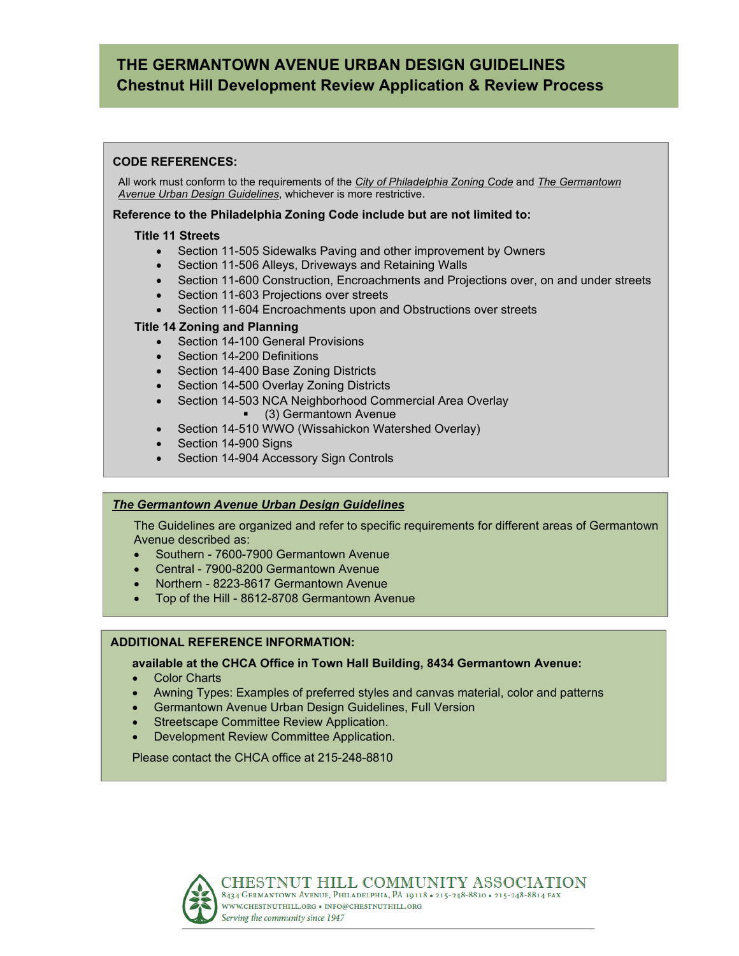# **THE GERMANTOWN AVENUE URBAN DESIGN GUIDELINES Chestnut Hill Development Review Application & Review Process**

#### **CODE REFERENCES:**

All work must conform to the requirements of the *City of Philadelphia Zoning Code* and *The Germantown Avenue Urban Design Guidelines*, whichever is more restrictive.

#### **Reference to the Philadelphia Zoning Code include but are not limited to:**

#### **Title 11 Streets**

- Section 11-505 Sidewalks Paving and other improvement by Owners
- Section 11-506 Alleys, Driveways and Retaining Walls
- Section 11-600 Construction, Encroachments and Projections over, on and under streets
- Section 11-603 Projections over streets
- Section 11-604 Encroachments upon and Obstructions over streets

#### **Title 14 Zoning and Planning**

- Section 14-100 General Provisions
- Section 14-200 Definitions
- Section 14-400 Base Zoning Districts
- Section 14-500 Overlay Zoning Districts
- Section 14-503 NCA Neighborhood Commercial Area Overlay
	- (3) Germantown Avenue
- Section 14-510 WWO (Wissahickon Watershed Overlay)
- Section 14-900 Signs
- Section 14-904 Accessory Sign Controls

#### *The Germantown Avenue Urban Design Guidelines*

The Guidelines are organized and refer to specific requirements for different areas of Germantown Avenue described as:

- Southern 7600-7900 Germantown Avenue
- Central 7900-8200 Germantown Avenue
- Northern 8223-8617 Germantown Avenue
- Top of the Hill 8612-8708 Germantown Avenue

#### **ADDITIONAL REFERENCE INFORMATION:**

#### **available at the CHCA Office in Town Hall Building, 8434 Germantown Avenue:**

- **Color Charts**
- Awning Types: Examples of preferred styles and canvas material, color and patterns
- Germantown Avenue Urban Design Guidelines, Full Version
- Streetscape Committee Review Application.
- Development Review Committee Application.

Please contact the CHCA office at 215-248-8810

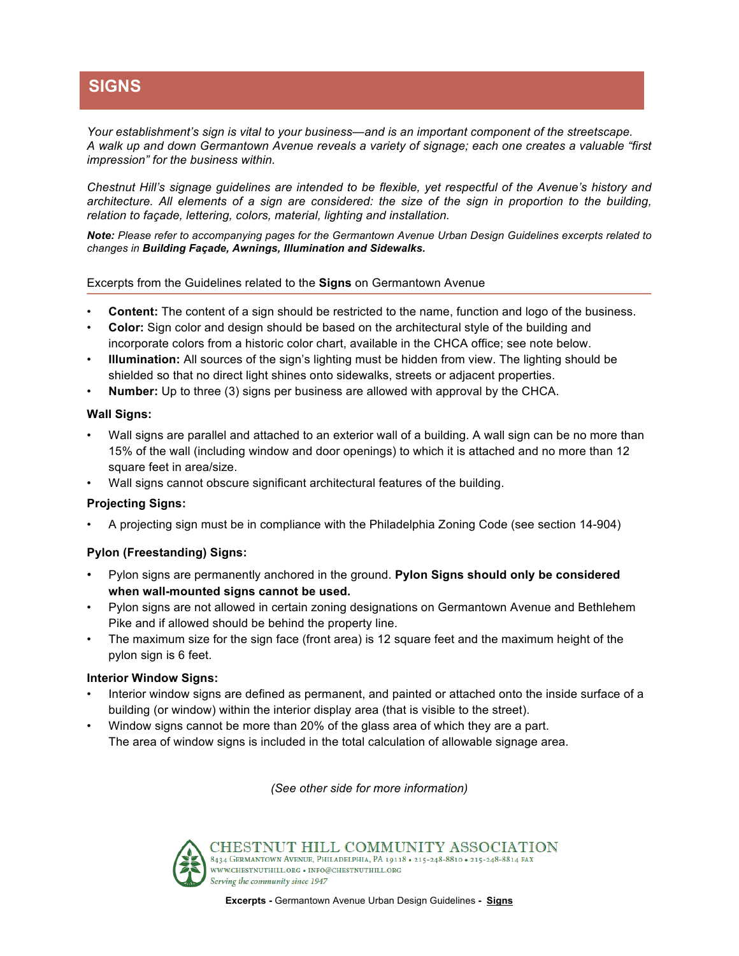# **SIGNS**

*Your establishment's sign is vital to your business—and is an important component of the streetscape. A walk up and down Germantown Avenue reveals a variety of signage; each one creates a valuable "first impression" for the business within.* 

*Chestnut Hill's signage guidelines are intended to be flexible, yet respectful of the Avenue's history and architecture. All elements of a sign are considered: the size of the sign in proportion to the building, relation to façade, lettering, colors, material, lighting and installation.* 

*Note: Please refer to accompanying pages for the Germantown Avenue Urban Design Guidelines excerpts related to changes in Building Façade, Awnings, Illumination and Sidewalks.*

Excerpts from the Guidelines related to the **Signs** on Germantown Avenue

- **Content:** The content of a sign should be restricted to the name, function and logo of the business.
- **Color:** Sign color and design should be based on the architectural style of the building and incorporate colors from a historic color chart, available in the CHCA office; see note below.
- **Illumination:** All sources of the sign's lighting must be hidden from view. The lighting should be shielded so that no direct light shines onto sidewalks, streets or adjacent properties.
- **Number:** Up to three (3) signs per business are allowed with approval by the CHCA.

#### **Wall Signs:**

- Wall signs are parallel and attached to an exterior wall of a building. A wall sign can be no more than 15% of the wall (including window and door openings) to which it is attached and no more than 12 square feet in area/size.
- Wall signs cannot obscure significant architectural features of the building.

#### **Projecting Signs:**

• A projecting sign must be in compliance with the Philadelphia Zoning Code (see section 14-904)

#### **Pylon (Freestanding) Signs:**

- Pylon signs are permanently anchored in the ground. **Pylon Signs should only be considered when wall-mounted signs cannot be used.**
- Pylon signs are not allowed in certain zoning designations on Germantown Avenue and Bethlehem Pike and if allowed should be behind the property line.
- The maximum size for the sign face (front area) is 12 square feet and the maximum height of the pylon sign is 6 feet.

#### **Interior Window Signs:**

- Interior window signs are defined as permanent, and painted or attached onto the inside surface of a building (or window) within the interior display area (that is visible to the street).
- Window signs cannot be more than 20% of the glass area of which they are a part. The area of window signs is included in the total calculation of allowable signage area.

*(See other side for more information)*



CHESTNUT HILL COMMUNITY ASSOCIATION 8434 GERMANTOWN AVENUE, PHILADELPHIA, PA 19118 . 215-248-8810 . 215-248-8814 FAX WWW.CHESTNUTHILL.ORG • INFO@CHESTNUTHILL.ORG Serving the community since 1947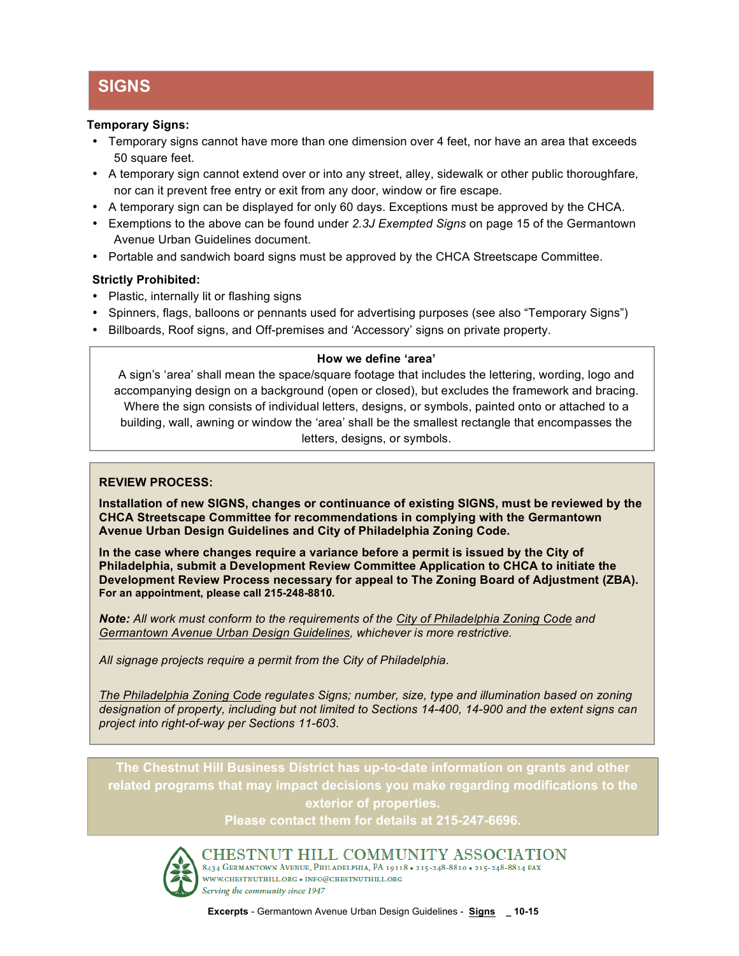# **SIGNS**

#### **Temporary Signs:**

- Temporary signs cannot have more than one dimension over 4 feet, nor have an area that exceeds 50 square feet.
- A temporary sign cannot extend over or into any street, alley, sidewalk or other public thoroughfare, nor can it prevent free entry or exit from any door, window or fire escape.
- A temporary sign can be displayed for only 60 days. Exceptions must be approved by the CHCA.
- Exemptions to the above can be found under *2.3J Exempted Signs* on page 15 of the Germantown Avenue Urban Guidelines document.
- Portable and sandwich board signs must be approved by the CHCA Streetscape Committee.

#### **Strictly Prohibited:**

- Plastic, internally lit or flashing signs
- Spinners, flags, balloons or pennants used for advertising purposes (see also "Temporary Signs")
- Billboards, Roof signs, and Off-premises and 'Accessory' signs on private property.

#### **How we define 'area'**

A sign's 'area' shall mean the space/square footage that includes the lettering, wording, logo and accompanying design on a background (open or closed), but excludes the framework and bracing. Where the sign consists of individual letters, designs, or symbols, painted onto or attached to a building, wall, awning or window the 'area' shall be the smallest rectangle that encompasses the letters, designs, or symbols.

#### **REVIEW PROCESS:**

**Installation of new SIGNS, changes or continuance of existing SIGNS, must be reviewed by the CHCA Streetscape Committee for recommendations in complying with the Germantown Avenue Urban Design Guidelines and City of Philadelphia Zoning Code.**

**In the case where changes require a variance before a permit is issued by the City of Philadelphia, submit a Development Review Committee Application to CHCA to initiate the Development Review Process necessary for appeal to The Zoning Board of Adjustment (ZBA). For an appointment, please call 215-248-8810.**

*Note: All work must conform to the requirements of the City of Philadelphia Zoning Code and Germantown Avenue Urban Design Guidelines, whichever is more restrictive.*

*All signage projects require a permit from the City of Philadelphia*.

 *project into right-of-way per Sections 11-603. The Philadelphia Zoning Code regulates Signs; number, size, type and illumination based on zoning designation of property, including but not limited to Sections 14-400, 14-900 and the extent signs can* 

**The Chestnut Hill Business District has up-to-date information on grants and other related programs that may impact decisions you make regarding modifications to the exterior of properties.** 

**Please contact them for details at 215-247-6696.** 



CHESTNUT HILL COMMUNITY ASSOCIATION 8434 GERMANTOWN AVENUE, PHILADELPHIA, PA 19118 . 215-248-8810 . 215-248-8814 FAX WWW.CHESTNUTHILL.ORG . INFO@CHESTNUTHILL.ORG Serving the community since 1947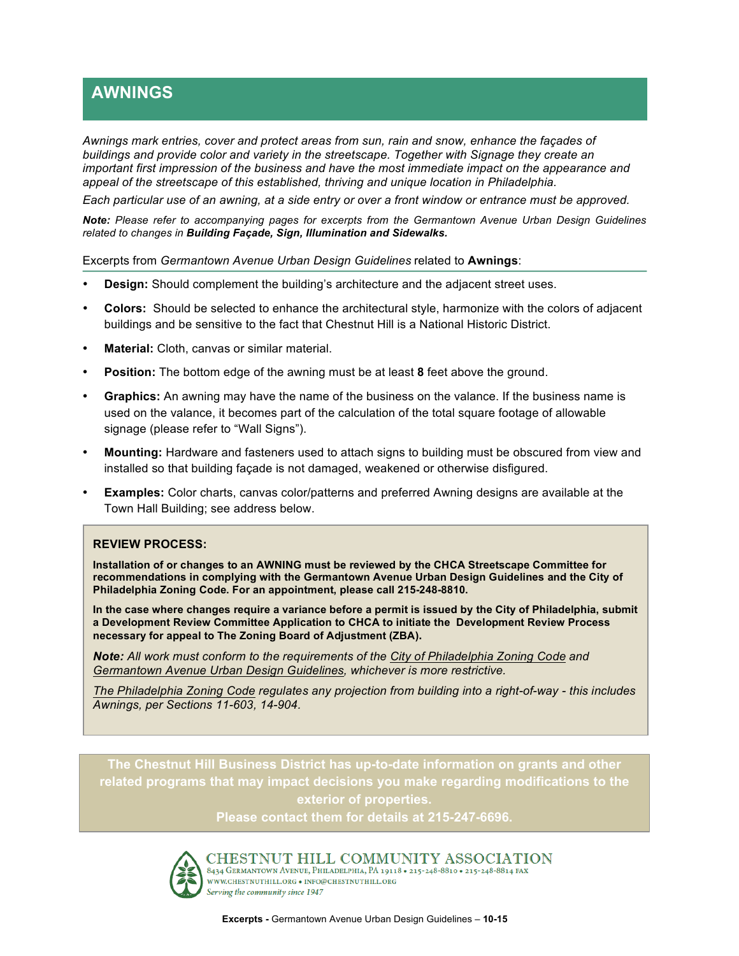# **AWNINGS**

*Awnings mark entries, cover and protect areas from sun, rain and snow, enhance the façades of buildings and provide color and variety in the streetscape. Together with Signage they create an important first impression of the business and have the most immediate impact on the appearance and appeal of the streetscape of this established, thriving and unique location in Philadelphia.* 

*Each particular use of an awning, at a side entry or over a front window or entrance must be approved.*

*Note: Please refer to accompanying pages for excerpts from the Germantown Avenue Urban Design Guidelines related to changes in Building Façade, Sign, Illumination and Sidewalks.* 

Excerpts from *Germantown Avenue Urban Design Guidelines* related to **Awnings**:

- **Design:** Should complement the building's architecture and the adjacent street uses.
- **Colors:** Should be selected to enhance the architectural style, harmonize with the colors of adjacent buildings and be sensitive to the fact that Chestnut Hill is a National Historic District.
- **Material:** Cloth, canvas or similar material.
- **Position:** The bottom edge of the awning must be at least **8** feet above the ground.
- **Graphics:** An awning may have the name of the business on the valance. If the business name is used on the valance, it becomes part of the calculation of the total square footage of allowable signage (please refer to "Wall Signs").
- **Mounting:** Hardware and fasteners used to attach signs to building must be obscured from view and installed so that building façade is not damaged, weakened or otherwise disfigured.
- **Examples:** Color charts, canvas color/patterns and preferred Awning designs are available at the Town Hall Building; see address below.

#### **REVIEW PROCESS:**

**Installation of or changes to an AWNING must be reviewed by the CHCA Streetscape Committee for recommendations in complying with the Germantown Avenue Urban Design Guidelines and the City of Philadelphia Zoning Code. For an appointment, please call 215-248-8810.**

**In the case where changes require a variance before a permit is issued by the City of Philadelphia, submit a Development Review Committee Application to CHCA to initiate the Development Review Process necessary for appeal to The Zoning Board of Adjustment (ZBA).** 

*Note: All work must conform to the requirements of the City of Philadelphia Zoning Code and Germantown Avenue Urban Design Guidelines, whichever is more restrictive.*

*The Philadelphia Zoning Code regulates any projection from building into a right-of-way - this includes Awnings, per Sections 11-603, 14-904.* 

**The Chestnut Hill Business District has up-to-date information on grants and other related programs that may impact decisions you make regarding modifications to the exterior of properties.** 

**Please contact them for details at 215-247-6696.** 



CHESTNUT HILL COMMUNITY ASSOCIATION 8434 GERMANTOWN AVENUE, PHILADELPHIA, PA 19118 . 215-248-8810 . 215-248-8814 FAX WWW.CHESTNUTHILL.ORG . INFO@CHESTNUTHILL.ORG Serving the community since 1947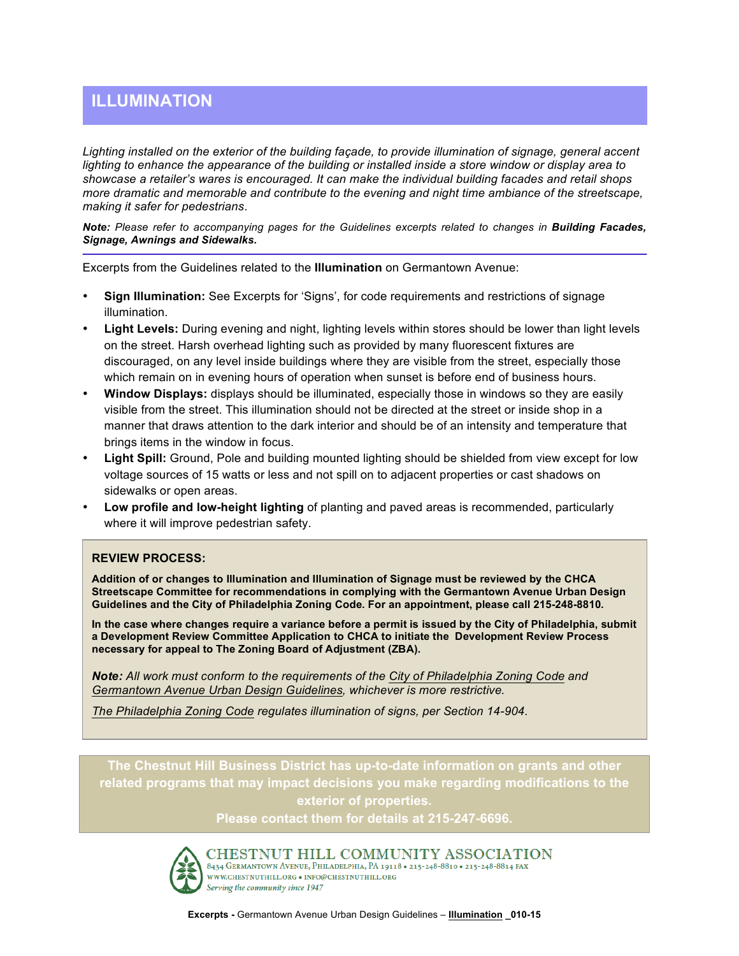# **ILLUMINATION**

*Lighting installed on the exterior of the building façade, to provide illumination of signage, general accent lighting to enhance the appearance of the building or installed inside a store window or display area to showcase a retailer's wares is encouraged. It can make the individual building facades and retail shops more dramatic and memorable and contribute to the evening and night time ambiance of the streetscape, making it safer for pedestrians*.

*Note: Please refer to accompanying pages for the Guidelines excerpts related to changes in Building Facades, Signage, Awnings and Sidewalks.*

Excerpts from the Guidelines related to the **Illumination** on Germantown Avenue:

- **Sign Illumination:** See Excerpts for 'Signs', for code requirements and restrictions of signage illumination.
- **Light Levels:** During evening and night, lighting levels within stores should be lower than light levels on the street. Harsh overhead lighting such as provided by many fluorescent fixtures are discouraged, on any level inside buildings where they are visible from the street, especially those which remain on in evening hours of operation when sunset is before end of business hours.
- **Window Displays:** displays should be illuminated, especially those in windows so they are easily visible from the street. This illumination should not be directed at the street or inside shop in a manner that draws attention to the dark interior and should be of an intensity and temperature that brings items in the window in focus.
- **Light Spill:** Ground, Pole and building mounted lighting should be shielded from view except for low voltage sources of 15 watts or less and not spill on to adjacent properties or cast shadows on sidewalks or open areas.
- **Low profile and low-height lighting** of planting and paved areas is recommended, particularly where it will improve pedestrian safety.

#### **REVIEW PROCESS:**

**Addition of or changes to Illumination and Illumination of Signage must be reviewed by the CHCA Streetscape Committee for recommendations in complying with the Germantown Avenue Urban Design Guidelines and the City of Philadelphia Zoning Code. For an appointment, please call 215-248-8810.**

**In the case where changes require a variance before a permit is issued by the City of Philadelphia, submit a Development Review Committee Application to CHCA to initiate the Development Review Process necessary for appeal to The Zoning Board of Adjustment (ZBA).**

*Note: All work must conform to the requirements of the City of Philadelphia Zoning Code and Germantown Avenue Urban Design Guidelines, whichever is more restrictive.*

*The Philadelphia Zoning Code regulates illumination of signs, per Section 14-904.*

**The Chestnut Hill Business District has up-to-date information on grants and other related programs that may impact decisions you make regarding modifications to the exterior of properties.** 

**Please contact them for details at 215-247-6696.** 



CHESTNUT HILL COMMUNITY ASSOCIATION 8434 GERMANTOWN AVENUE, PHILADELPHIA, PA 19118 . 215-248-8810 . 215-248-8814 FAX WWW.CHESTNUTHILL.ORG • INFO@CHESTNUTHILL.ORG Serving the community since 1947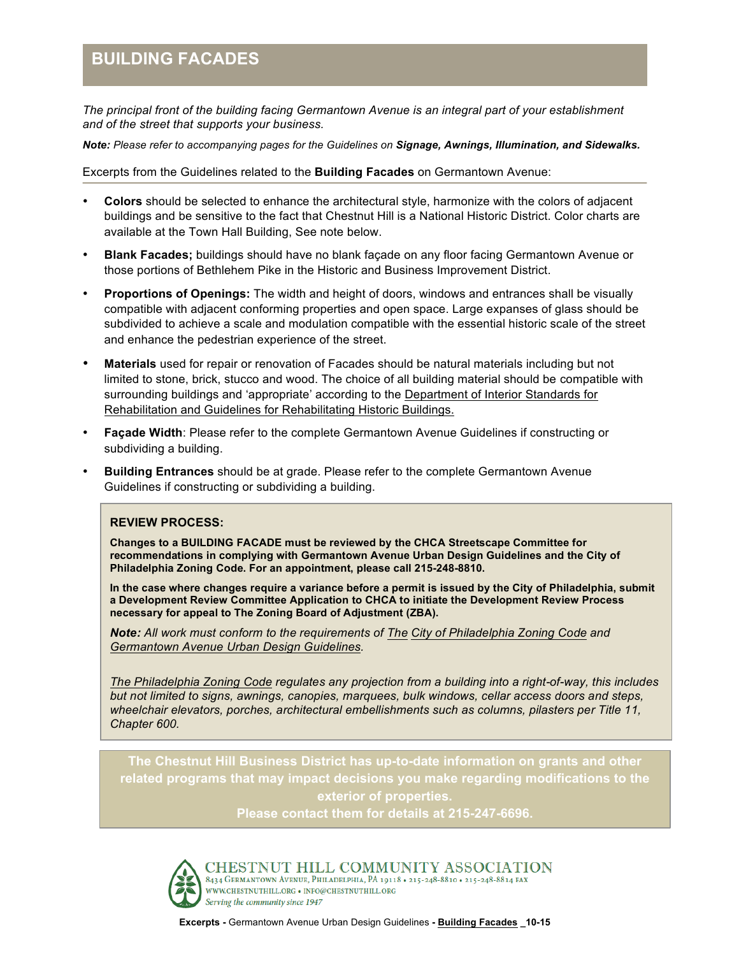# **BUILDING FACADES**

*The principal front of the building facing Germantown Avenue is an integral part of your establishment and of the street that supports your business.* 

*Note: Please refer to accompanying pages for the Guidelines on Signage, Awnings, Illumination, and Sidewalks.*

Excerpts from the Guidelines related to the **Building Facades** on Germantown Avenue:

- **Colors** should be selected to enhance the architectural style, harmonize with the colors of adjacent buildings and be sensitive to the fact that Chestnut Hill is a National Historic District. Color charts are available at the Town Hall Building, See note below.
- **Blank Facades;** buildings should have no blank façade on any floor facing Germantown Avenue or those portions of Bethlehem Pike in the Historic and Business Improvement District.
- **Proportions of Openings:** The width and height of doors, windows and entrances shall be visually compatible with adjacent conforming properties and open space. Large expanses of glass should be subdivided to achieve a scale and modulation compatible with the essential historic scale of the street and enhance the pedestrian experience of the street.
- **Materials** used for repair or renovation of Facades should be natural materials including but not limited to stone, brick, stucco and wood. The choice of all building material should be compatible with surrounding buildings and 'appropriate' according to the Department of Interior Standards for Rehabilitation and Guidelines for Rehabilitating Historic Buildings.
- **Façade Width**: Please refer to the complete Germantown Avenue Guidelines if constructing or subdividing a building.
- **Building Entrances** should be at grade. Please refer to the complete Germantown Avenue Guidelines if constructing or subdividing a building.

#### **REVIEW PROCESS:**

**Changes to a BUILDING FACADE must be reviewed by the CHCA Streetscape Committee for recommendations in complying with Germantown Avenue Urban Design Guidelines and the City of Philadelphia Zoning Code. For an appointment, please call 215-248-8810.**

**In the case where changes require a variance before a permit is issued by the City of Philadelphia, submit a Development Review Committee Application to CHCA to initiate the Development Review Process necessary for appeal to The Zoning Board of Adjustment (ZBA).**

*Note: All work must conform to the requirements of The City of Philadelphia Zoning Code and Germantown Avenue Urban Design Guidelines.*

*The Philadelphia Zoning Code regulates any projection from a building into a right-of-way, this includes but not limited to signs, awnings, canopies, marquees, bulk windows, cellar access doors and steps, wheelchair elevators, porches, architectural embellishments such as columns, pilasters per Title 11, Chapter 600.*

**The Chestnut Hill Business District has up-to-date information on grants and other related programs that may impact decisions you make regarding modifications to the exterior of properties.** 

**Please contact them for details at 215-247-6696.** 



CHESTNUT HILL COMMUNITY ASSOCIATION 8434 GERMANTOWN AVENUE, PHILADELPHIA, PA 19118 . 215-248-8810 . 215-248-8814 FAX WWW.CHESTNUTHILL.ORG . INFO@CHESTNUTHILL.ORG Serving the community since 1947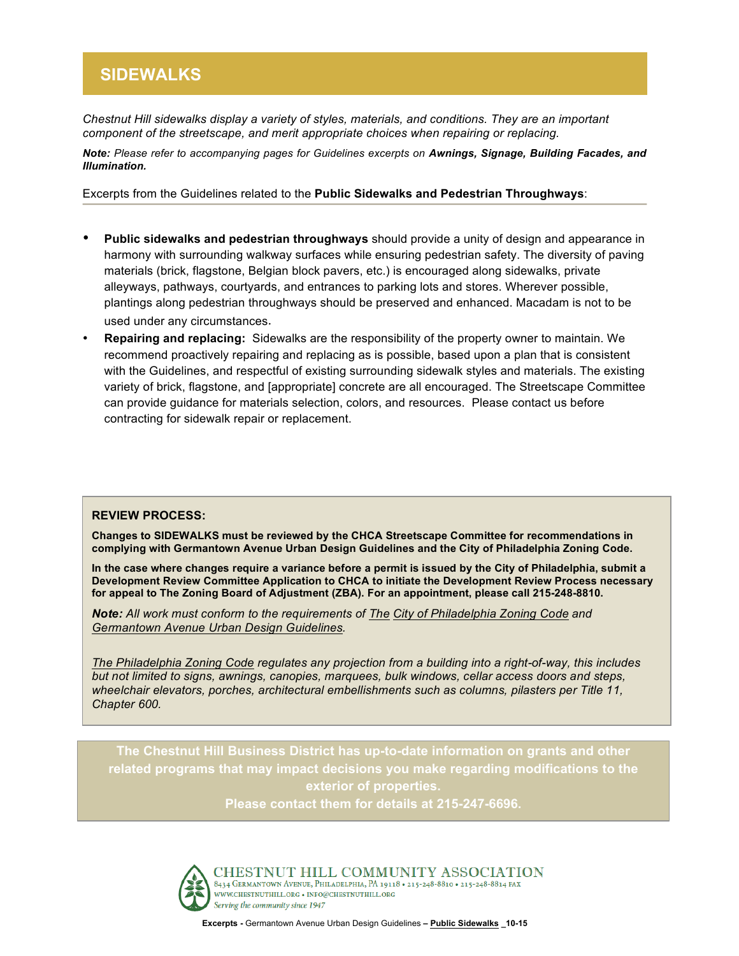# **SIDEWALKS**

*Chestnut Hill sidewalks display a variety of styles, materials, and conditions. They are an important component of the streetscape, and merit appropriate choices when repairing or replacing.*

*Note: Please refer to accompanying pages for Guidelines excerpts on Awnings, Signage, Building Facades, and Illumination.* 

Excerpts from the Guidelines related to the **Public Sidewalks and Pedestrian Throughways**:

- **Public sidewalks and pedestrian throughways** should provide a unity of design and appearance in harmony with surrounding walkway surfaces while ensuring pedestrian safety. The diversity of paving materials (brick, flagstone, Belgian block pavers, etc.) is encouraged along sidewalks, private alleyways, pathways, courtyards, and entrances to parking lots and stores. Wherever possible, plantings along pedestrian throughways should be preserved and enhanced. Macadam is not to be used under any circumstances.
- **Repairing and replacing:** Sidewalks are the responsibility of the property owner to maintain. We recommend proactively repairing and replacing as is possible, based upon a plan that is consistent with the Guidelines, and respectful of existing surrounding sidewalk styles and materials. The existing variety of brick, flagstone, and [appropriate] concrete are all encouraged. The Streetscape Committee can provide guidance for materials selection, colors, and resources. Please contact us before contracting for sidewalk repair or replacement.

#### **REVIEW PROCESS:**

**Changes to SIDEWALKS must be reviewed by the CHCA Streetscape Committee for recommendations in complying with Germantown Avenue Urban Design Guidelines and the City of Philadelphia Zoning Code.**

for appeal to The Zoning Board of Adjustment (ZBA). For an appointment, please call 215-248-8810. **In the case where changes require a variance before a permit is issued by the City of Philadelphia, submit a Development Review Committee Application to CHCA to initiate the Development Review Process necessary** 

*Note: All work must conform to the requirements of The City of Philadelphia Zoning Code and Germantown Avenue Urban Design Guidelines.* 

*The Philadelphia Zoning Code regulates any projection from a building into a right-of-way, this includes but not limited to signs, awnings, canopies, marquees, bulk windows, cellar access doors and steps, wheelchair elevators, porches, architectural embellishments such as columns, pilasters per Title 11, Chapter 600.*

**The Chestnut Hill Business District has up-to-date information on grants and other related programs that may impact decisions you make regarding modifications to the exterior of properties. Please contact them for details at 215-247-6696.** 



CHESTNUT HILL COMMUNITY ASSOCIATION 8434 GERMANTOWN AVENUE, PHILADELPHIA, PA 19118 . 215-248-8810 . 215-248-8814 FAX WWW.CHESTNUTHILL.ORG • INFO@CHESTNUTHILL.ORG Serving the community since 1947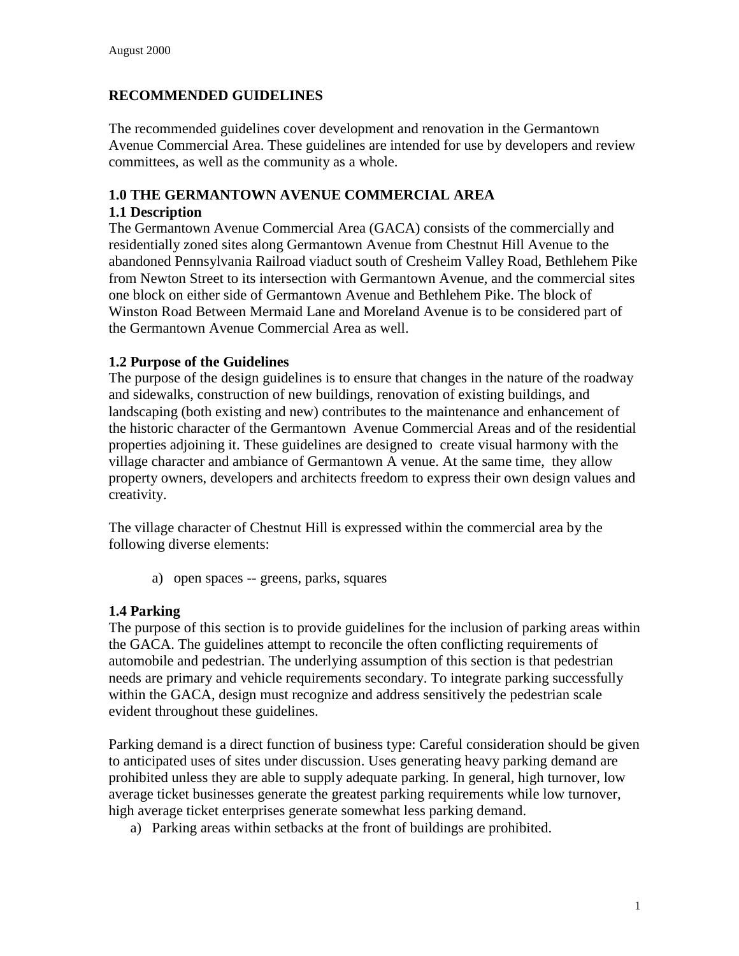## **RECOMMENDED GUIDELINES**

The recommended guidelines cover development and renovation in the Germantown Avenue Commercial Area. These guidelines are intended for use by developers and review committees, as well as the community as a whole.

## **1.0 THE GERMANTOWN AVENUE COMMERCIAL AREA**

#### **1.1 Description**

The Germantown Avenue Commercial Area (GACA) consists of the commercially and residentially zoned sites along Germantown Avenue from Chestnut Hill Avenue to the abandoned Pennsylvania Railroad viaduct south of Cresheim Valley Road, Bethlehem Pike from Newton Street to its intersection with Germantown Avenue, and the commercial sites one block on either side of Germantown Avenue and Bethlehem Pike. The block of Winston Road Between Mermaid Lane and Moreland Avenue is to be considered part of the Germantown Avenue Commercial Area as well.

#### **1.2 Purpose of the Guidelines**

The purpose of the design guidelines is to ensure that changes in the nature of the roadway and sidewalks, construction of new buildings, renovation of existing buildings, and landscaping (both existing and new) contributes to the maintenance and enhancement of the historic character of the Germantown Avenue Commercial Areas and of the residential properties adjoining it. These guidelines are designed to create visual harmony with the village character and ambiance of Germantown A venue. At the same time, they allow property owners, developers and architects freedom to express their own design values and creativity.

The village character of Chestnut Hill is expressed within the commercial area by the following diverse elements:

a) open spaces -- greens, parks, squares

## **1.4 Parking**

The purpose of this section is to provide guidelines for the inclusion of parking areas within the GACA. The guidelines attempt to reconcile the often conflicting requirements of automobile and pedestrian. The underlying assumption of this section is that pedestrian needs are primary and vehicle requirements secondary. To integrate parking successfully within the GACA, design must recognize and address sensitively the pedestrian scale evident throughout these guidelines.

Parking demand is a direct function of business type: Careful consideration should be given to anticipated uses of sites under discussion. Uses generating heavy parking demand are prohibited unless they are able to supply adequate parking. In general, high turnover, low average ticket businesses generate the greatest parking requirements while low turnover, high average ticket enterprises generate somewhat less parking demand.

a) Parking areas within setbacks at the front of buildings are prohibited.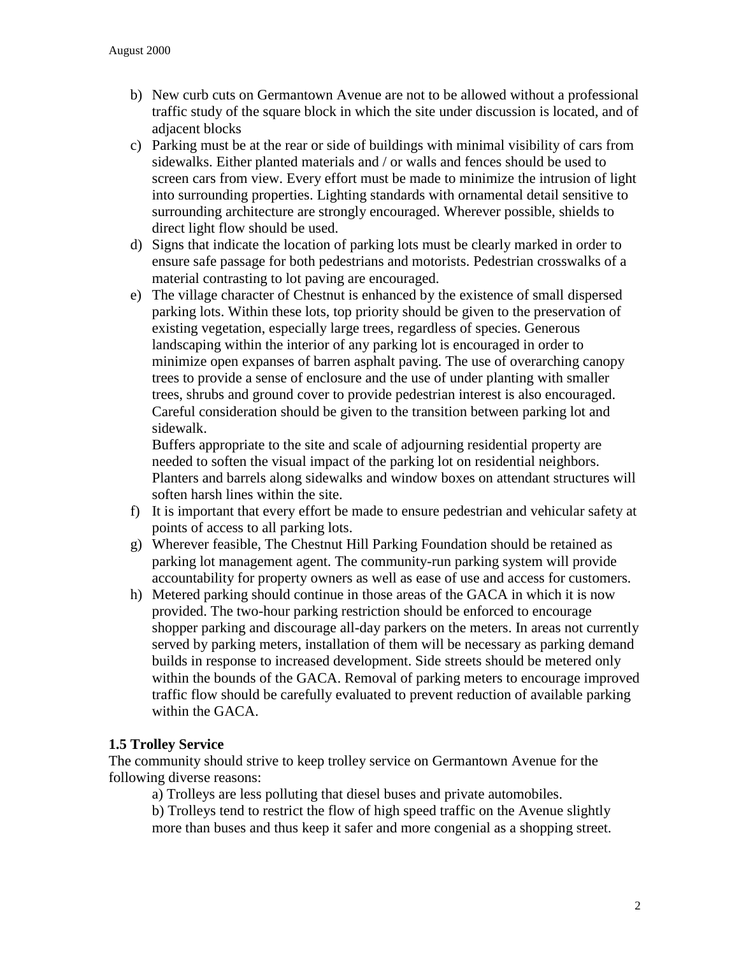- b) New curb cuts on Germantown Avenue are not to be allowed without a professional traffic study of the square block in which the site under discussion is located, and of adjacent blocks
- c) Parking must be at the rear or side of buildings with minimal visibility of cars from sidewalks. Either planted materials and / or walls and fences should be used to screen cars from view. Every effort must be made to minimize the intrusion of light into surrounding properties. Lighting standards with ornamental detail sensitive to surrounding architecture are strongly encouraged. Wherever possible, shields to direct light flow should be used.
- d) Signs that indicate the location of parking lots must be clearly marked in order to ensure safe passage for both pedestrians and motorists. Pedestrian crosswalks of a material contrasting to lot paving are encouraged.
- e) The village character of Chestnut is enhanced by the existence of small dispersed parking lots. Within these lots, top priority should be given to the preservation of existing vegetation, especially large trees, regardless of species. Generous landscaping within the interior of any parking lot is encouraged in order to minimize open expanses of barren asphalt paving. The use of overarching canopy trees to provide a sense of enclosure and the use of under planting with smaller trees, shrubs and ground cover to provide pedestrian interest is also encouraged. Careful consideration should be given to the transition between parking lot and sidewalk.

Buffers appropriate to the site and scale of adjourning residential property are needed to soften the visual impact of the parking lot on residential neighbors. Planters and barrels along sidewalks and window boxes on attendant structures will soften harsh lines within the site.

- f) It is important that every effort be made to ensure pedestrian and vehicular safety at points of access to all parking lots.
- g) Wherever feasible, The Chestnut Hill Parking Foundation should be retained as parking lot management agent. The community-run parking system will provide accountability for property owners as well as ease of use and access for customers.
- h) Metered parking should continue in those areas of the GACA in which it is now provided. The two-hour parking restriction should be enforced to encourage shopper parking and discourage all-day parkers on the meters. In areas not currently served by parking meters, installation of them will be necessary as parking demand builds in response to increased development. Side streets should be metered only within the bounds of the GACA. Removal of parking meters to encourage improved traffic flow should be carefully evaluated to prevent reduction of available parking within the GACA.

## **1.5 Trolley Service**

The community should strive to keep trolley service on Germantown Avenue for the following diverse reasons:

a) Trolleys are less polluting that diesel buses and private automobiles.

b) Trolleys tend to restrict the flow of high speed traffic on the Avenue slightly more than buses and thus keep it safer and more congenial as a shopping street.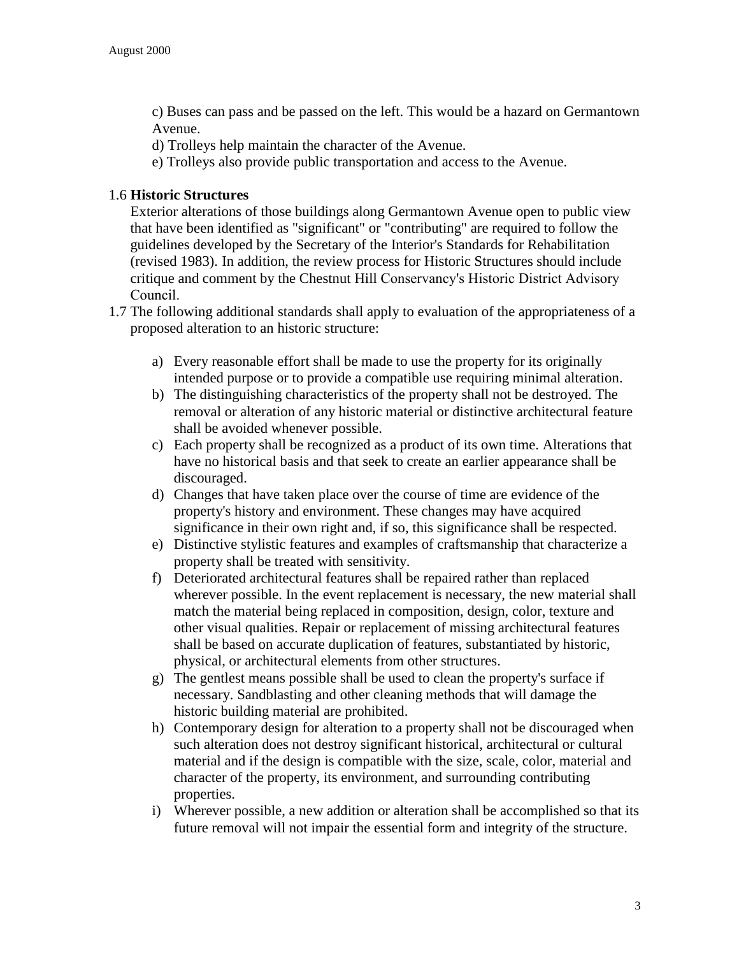c) Buses can pass and be passed on the left. This would be a hazard on Germantown Avenue.

- d) Trolleys help maintain the character of the Avenue.
- e) Trolleys also provide public transportation and access to the Avenue.

### 1.6 **Historic Structures**

Exterior alterations of those buildings along Germantown Avenue open to public view that have been identified as "significant" or "contributing" are required to follow the guidelines developed by the Secretary of the Interior's Standards for Rehabilitation (revised 1983). In addition, the review process for Historic Structures should include critique and comment by the Chestnut Hill Conservancy's Historic District Advisory Council.

- 1.7 The following additional standards shall apply to evaluation of the appropriateness of a proposed alteration to an historic structure:
	- a) Every reasonable effort shall be made to use the property for its originally intended purpose or to provide a compatible use requiring minimal alteration.
	- b) The distinguishing characteristics of the property shall not be destroyed. The removal or alteration of any historic material or distinctive architectural feature shall be avoided whenever possible.
	- c) Each property shall be recognized as a product of its own time. Alterations that have no historical basis and that seek to create an earlier appearance shall be discouraged.
	- d) Changes that have taken place over the course of time are evidence of the property's history and environment. These changes may have acquired significance in their own right and, if so, this significance shall be respected.
	- e) Distinctive stylistic features and examples of craftsmanship that characterize a property shall be treated with sensitivity.
	- f) Deteriorated architectural features shall be repaired rather than replaced wherever possible. In the event replacement is necessary, the new material shall match the material being replaced in composition, design, color, texture and other visual qualities. Repair or replacement of missing architectural features shall be based on accurate duplication of features, substantiated by historic, physical, or architectural elements from other structures.
	- g) The gentlest means possible shall be used to clean the property's surface if necessary. Sandblasting and other cleaning methods that will damage the historic building material are prohibited.
	- h) Contemporary design for alteration to a property shall not be discouraged when such alteration does not destroy significant historical, architectural or cultural material and if the design is compatible with the size, scale, color, material and character of the property, its environment, and surrounding contributing properties.
	- i) Wherever possible, a new addition or alteration shall be accomplished so that its future removal will not impair the essential form and integrity of the structure.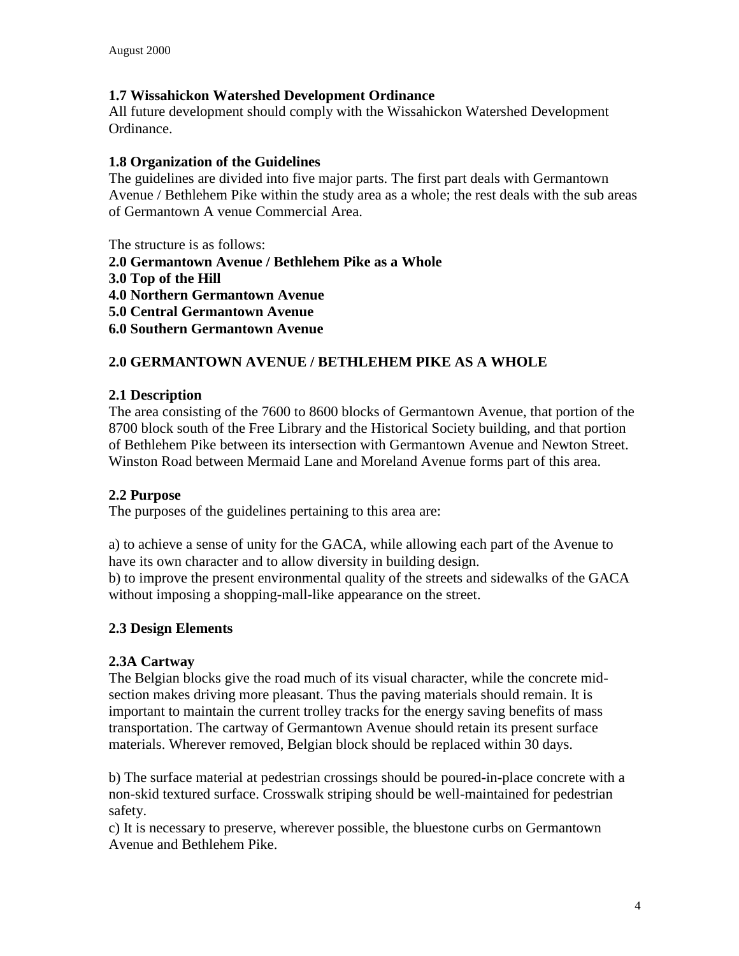## **1.7 Wissahickon Watershed Development Ordinance**

All future development should comply with the Wissahickon Watershed Development Ordinance.

#### **1.8 Organization of the Guidelines**

The guidelines are divided into five major parts. The first part deals with Germantown Avenue / Bethlehem Pike within the study area as a whole; the rest deals with the sub areas of Germantown A venue Commercial Area.

The structure is as follows:

**2.0 Germantown Avenue / Bethlehem Pike as a Whole**

- **3.0 Top of the Hill**
- **4.0 Northern Germantown Avenue**

**5.0 Central Germantown Avenue**

**6.0 Southern Germantown Avenue**

# **2.0 GERMANTOWN AVENUE / BETHLEHEM PIKE AS A WHOLE**

#### **2.1 Description**

The area consisting of the 7600 to 8600 blocks of Germantown Avenue, that portion of the 8700 block south of the Free Library and the Historical Society building, and that portion of Bethlehem Pike between its intersection with Germantown Avenue and Newton Street. Winston Road between Mermaid Lane and Moreland Avenue forms part of this area.

#### **2.2 Purpose**

The purposes of the guidelines pertaining to this area are:

a) to achieve a sense of unity for the GACA, while allowing each part of the Avenue to have its own character and to allow diversity in building design.

b) to improve the present environmental quality of the streets and sidewalks of the GACA without imposing a shopping-mall-like appearance on the street.

## **2.3 Design Elements**

## **2.3A Cartway**

The Belgian blocks give the road much of its visual character, while the concrete midsection makes driving more pleasant. Thus the paving materials should remain. It is important to maintain the current trolley tracks for the energy saving benefits of mass transportation. The cartway of Germantown Avenue should retain its present surface materials. Wherever removed, Belgian block should be replaced within 30 days.

b) The surface material at pedestrian crossings should be poured-in-place concrete with a non-skid textured surface. Crosswalk striping should be well-maintained for pedestrian safety.

c) It is necessary to preserve, wherever possible, the bluestone curbs on Germantown Avenue and Bethlehem Pike.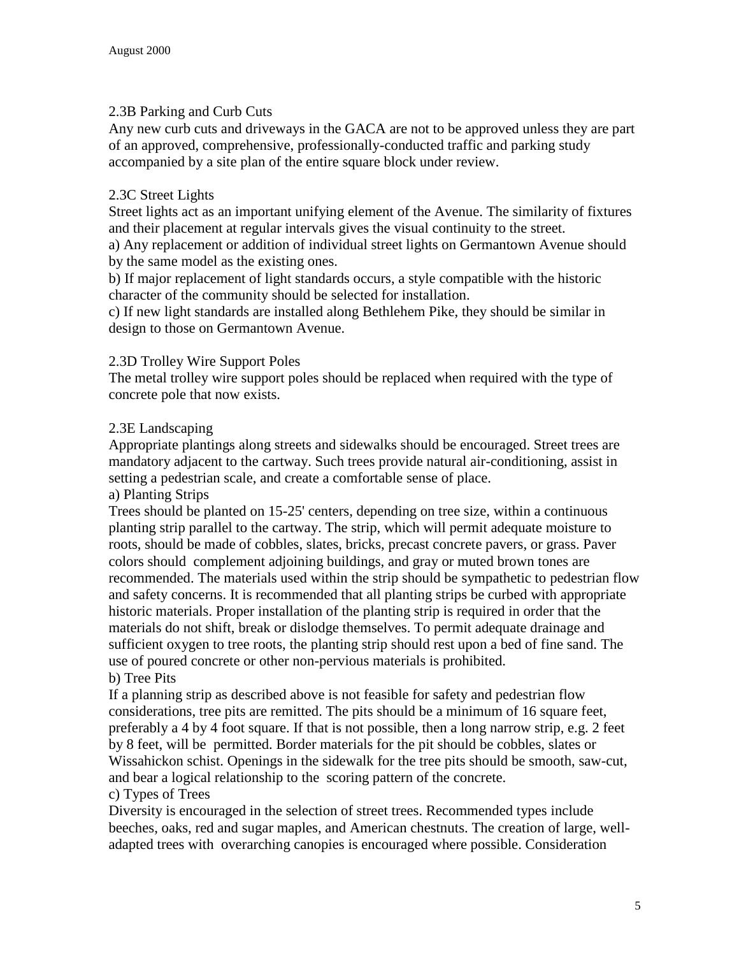## 2.3B Parking and Curb Cuts

Any new curb cuts and driveways in the GACA are not to be approved unless they are part of an approved, comprehensive, professionally-conducted traffic and parking study accompanied by a site plan of the entire square block under review.

## 2.3C Street Lights

Street lights act as an important unifying element of the Avenue. The similarity of fixtures and their placement at regular intervals gives the visual continuity to the street.

a) Any replacement or addition of individual street lights on Germantown Avenue should by the same model as the existing ones.

b) If major replacement of light standards occurs, a style compatible with the historic character of the community should be selected for installation.

c) If new light standards are installed along Bethlehem Pike, they should be similar in design to those on Germantown Avenue.

# 2.3D Trolley Wire Support Poles

The metal trolley wire support poles should be replaced when required with the type of concrete pole that now exists.

# 2.3E Landscaping

Appropriate plantings along streets and sidewalks should be encouraged. Street trees are mandatory adjacent to the cartway. Such trees provide natural air-conditioning, assist in setting a pedestrian scale, and create a comfortable sense of place.

## a) Planting Strips

Trees should be planted on 15-25' centers, depending on tree size, within a continuous planting strip parallel to the cartway. The strip, which will permit adequate moisture to roots, should be made of cobbles, slates, bricks, precast concrete pavers, or grass. Paver colors should complement adjoining buildings, and gray or muted brown tones are recommended. The materials used within the strip should be sympathetic to pedestrian flow and safety concerns. It is recommended that all planting strips be curbed with appropriate historic materials. Proper installation of the planting strip is required in order that the materials do not shift, break or dislodge themselves. To permit adequate drainage and sufficient oxygen to tree roots, the planting strip should rest upon a bed of fine sand. The use of poured concrete or other non-pervious materials is prohibited. b) Tree Pits

If a planning strip as described above is not feasible for safety and pedestrian flow considerations, tree pits are remitted. The pits should be a minimum of 16 square feet, preferably a 4 by 4 foot square. If that is not possible, then a long narrow strip, e.g. 2 feet by 8 feet, will be permitted. Border materials for the pit should be cobbles, slates or Wissahickon schist. Openings in the sidewalk for the tree pits should be smooth, saw-cut, and bear a logical relationship to the scoring pattern of the concrete.

## c) Types of Trees

Diversity is encouraged in the selection of street trees. Recommended types include beeches, oaks, red and sugar maples, and American chestnuts. The creation of large, welladapted trees with overarching canopies is encouraged where possible. Consideration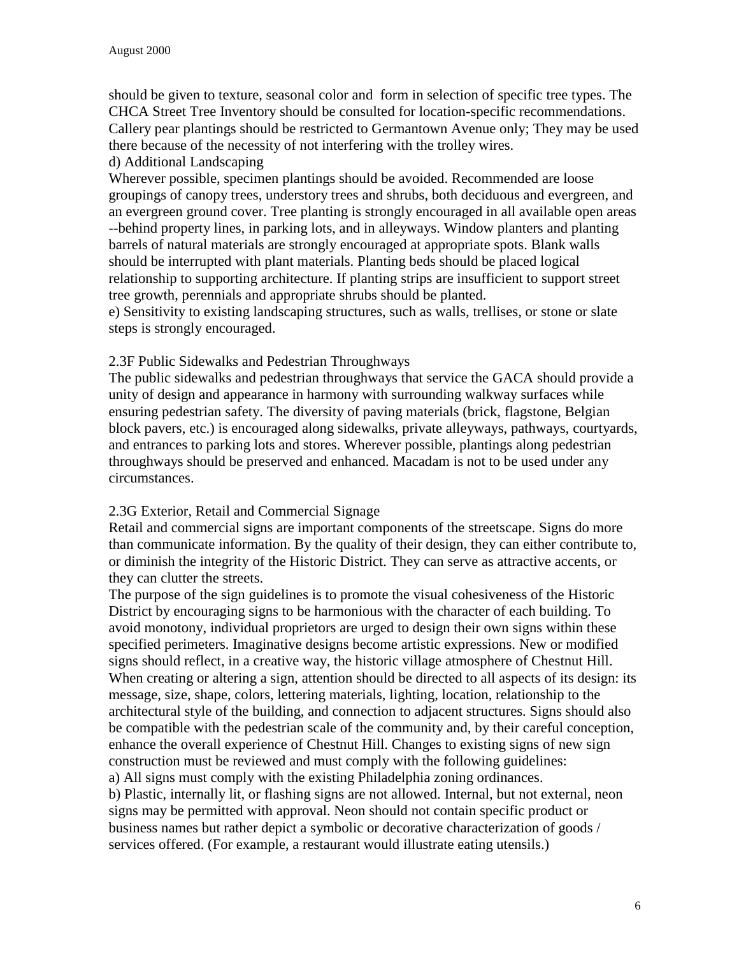should be given to texture, seasonal color and form in selection of specific tree types. The CHCA Street Tree Inventory should be consulted for location-specific recommendations. Callery pear plantings should be restricted to Germantown Avenue only; They may be used there because of the necessity of not interfering with the trolley wires.

d) Additional Landscaping

Wherever possible, specimen plantings should be avoided. Recommended are loose groupings of canopy trees, understory trees and shrubs, both deciduous and evergreen, and an evergreen ground cover. Tree planting is strongly encouraged in all available open areas --behind property lines, in parking lots, and in alleyways. Window planters and planting barrels of natural materials are strongly encouraged at appropriate spots. Blank walls should be interrupted with plant materials. Planting beds should be placed logical relationship to supporting architecture. If planting strips are insufficient to support street tree growth, perennials and appropriate shrubs should be planted.

e) Sensitivity to existing landscaping structures, such as walls, trellises, or stone or slate steps is strongly encouraged.

# 2.3F Public Sidewalks and Pedestrian Throughways

The public sidewalks and pedestrian throughways that service the GACA should provide a unity of design and appearance in harmony with surrounding walkway surfaces while ensuring pedestrian safety. The diversity of paving materials (brick, flagstone, Belgian block pavers, etc.) is encouraged along sidewalks, private alleyways, pathways, courtyards, and entrances to parking lots and stores. Wherever possible, plantings along pedestrian throughways should be preserved and enhanced. Macadam is not to be used under any circumstances.

## 2.3G Exterior, Retail and Commercial Signage

Retail and commercial signs are important components of the streetscape. Signs do more than communicate information. By the quality of their design, they can either contribute to, or diminish the integrity of the Historic District. They can serve as attractive accents, or they can clutter the streets.

The purpose of the sign guidelines is to promote the visual cohesiveness of the Historic District by encouraging signs to be harmonious with the character of each building. To avoid monotony, individual proprietors are urged to design their own signs within these specified perimeters. Imaginative designs become artistic expressions. New or modified signs should reflect, in a creative way, the historic village atmosphere of Chestnut Hill. When creating or altering a sign, attention should be directed to all aspects of its design: its message, size, shape, colors, lettering materials, lighting, location, relationship to the architectural style of the building, and connection to adjacent structures. Signs should also be compatible with the pedestrian scale of the community and, by their careful conception, enhance the overall experience of Chestnut Hill. Changes to existing signs of new sign construction must be reviewed and must comply with the following guidelines: a) All signs must comply with the existing Philadelphia zoning ordinances.

b) Plastic, internally lit, or flashing signs are not allowed. Internal, but not external, neon signs may be permitted with approval. Neon should not contain specific product or business names but rather depict a symbolic or decorative characterization of goods / services offered. (For example, a restaurant would illustrate eating utensils.)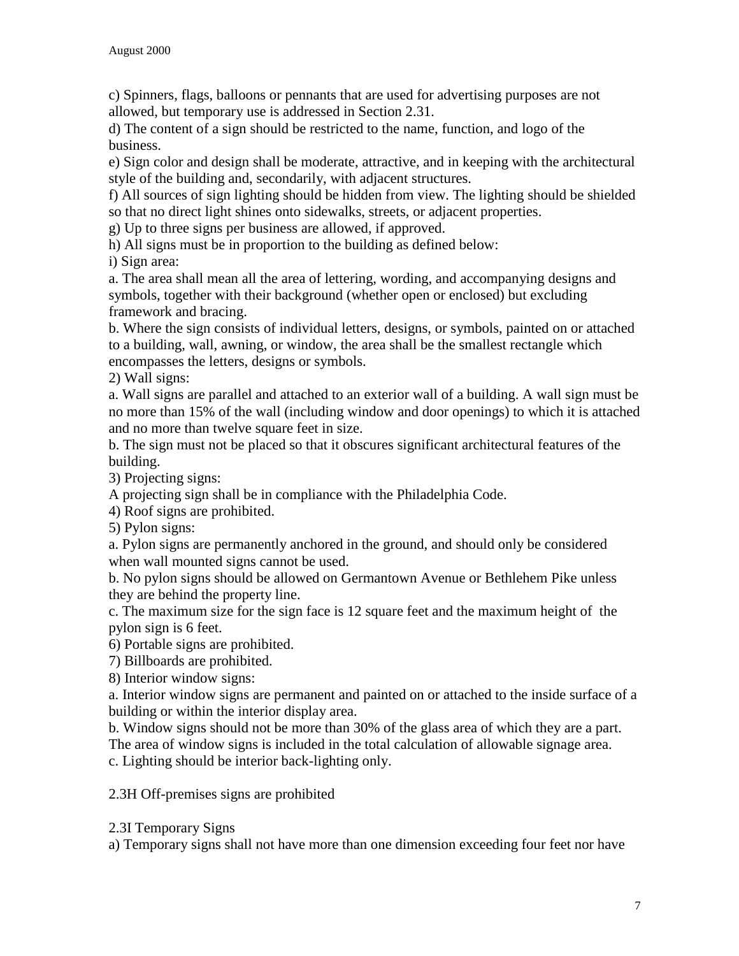c) Spinners, flags, balloons or pennants that are used for advertising purposes are not allowed, but temporary use is addressed in Section 2.31.

d) The content of a sign should be restricted to the name, function, and logo of the business.

e) Sign color and design shall be moderate, attractive, and in keeping with the architectural style of the building and, secondarily, with adjacent structures.

f) All sources of sign lighting should be hidden from view. The lighting should be shielded so that no direct light shines onto sidewalks, streets, or adjacent properties.

g) Up to three signs per business are allowed, if approved.

h) All signs must be in proportion to the building as defined below:

i) Sign area:

a. The area shall mean all the area of lettering, wording, and accompanying designs and symbols, together with their background (whether open or enclosed) but excluding framework and bracing.

b. Where the sign consists of individual letters, designs, or symbols, painted on or attached to a building, wall, awning, or window, the area shall be the smallest rectangle which encompasses the letters, designs or symbols.

2) Wall signs:

a. Wall signs are parallel and attached to an exterior wall of a building. A wall sign must be no more than 15% of the wall (including window and door openings) to which it is attached and no more than twelve square feet in size.

b. The sign must not be placed so that it obscures significant architectural features of the building.

3) Projecting signs:

A projecting sign shall be in compliance with the Philadelphia Code.

4) Roof signs are prohibited.

5) Pylon signs:

a. Pylon signs are permanently anchored in the ground, and should only be considered when wall mounted signs cannot be used.

b. No pylon signs should be allowed on Germantown Avenue or Bethlehem Pike unless they are behind the property line.

c. The maximum size for the sign face is 12 square feet and the maximum height of the pylon sign is 6 feet.

6) Portable signs are prohibited.

7) Billboards are prohibited.

8) Interior window signs:

a. Interior window signs are permanent and painted on or attached to the inside surface of a building or within the interior display area.

b. Window signs should not be more than 30% of the glass area of which they are a part. The area of window signs is included in the total calculation of allowable signage area.

c. Lighting should be interior back-lighting only.

2.3H Off-premises signs are prohibited

#### 2.3I Temporary Signs

a) Temporary signs shall not have more than one dimension exceeding four feet nor have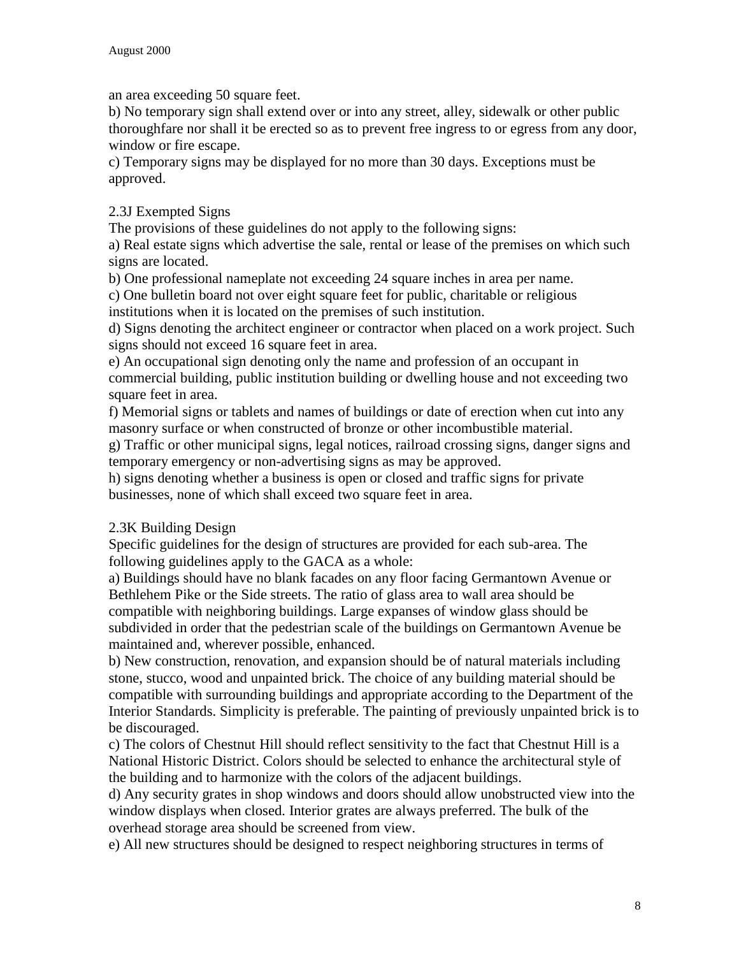an area exceeding 50 square feet.

b) No temporary sign shall extend over or into any street, alley, sidewalk or other public thoroughfare nor shall it be erected so as to prevent free ingress to or egress from any door, window or fire escape.

c) Temporary signs may be displayed for no more than 30 days. Exceptions must be approved.

# 2.3J Exempted Signs

The provisions of these guidelines do not apply to the following signs:

a) Real estate signs which advertise the sale, rental or lease of the premises on which such signs are located.

b) One professional nameplate not exceeding 24 square inches in area per name.

c) One bulletin board not over eight square feet for public, charitable or religious

institutions when it is located on the premises of such institution.

d) Signs denoting the architect engineer or contractor when placed on a work project. Such signs should not exceed 16 square feet in area.

e) An occupational sign denoting only the name and profession of an occupant in commercial building, public institution building or dwelling house and not exceeding two square feet in area.

f) Memorial signs or tablets and names of buildings or date of erection when cut into any masonry surface or when constructed of bronze or other incombustible material.

g) Traffic or other municipal signs, legal notices, railroad crossing signs, danger signs and temporary emergency or non-advertising signs as may be approved.

h) signs denoting whether a business is open or closed and traffic signs for private businesses, none of which shall exceed two square feet in area.

# 2.3K Building Design

Specific guidelines for the design of structures are provided for each sub-area. The following guidelines apply to the GACA as a whole:

a) Buildings should have no blank facades on any floor facing Germantown Avenue or Bethlehem Pike or the Side streets. The ratio of glass area to wall area should be compatible with neighboring buildings. Large expanses of window glass should be subdivided in order that the pedestrian scale of the buildings on Germantown Avenue be maintained and, wherever possible, enhanced.

b) New construction, renovation, and expansion should be of natural materials including stone, stucco, wood and unpainted brick. The choice of any building material should be compatible with surrounding buildings and appropriate according to the Department of the Interior Standards. Simplicity is preferable. The painting of previously unpainted brick is to be discouraged.

c) The colors of Chestnut Hill should reflect sensitivity to the fact that Chestnut Hill is a National Historic District. Colors should be selected to enhance the architectural style of the building and to harmonize with the colors of the adjacent buildings.

d) Any security grates in shop windows and doors should allow unobstructed view into the window displays when closed. Interior grates are always preferred. The bulk of the overhead storage area should be screened from view.

e) All new structures should be designed to respect neighboring structures in terms of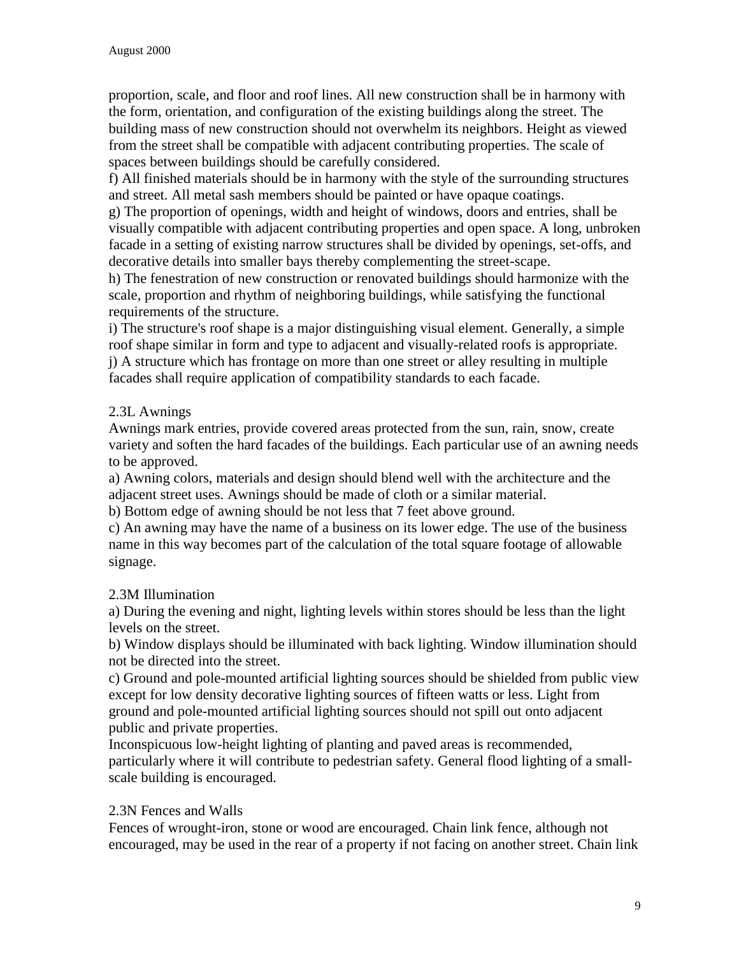proportion, scale, and floor and roof lines. All new construction shall be in harmony with the form, orientation, and configuration of the existing buildings along the street. The building mass of new construction should not overwhelm its neighbors. Height as viewed from the street shall be compatible with adjacent contributing properties. The scale of spaces between buildings should be carefully considered.

f) All finished materials should be in harmony with the style of the surrounding structures and street. All metal sash members should be painted or have opaque coatings.

g) The proportion of openings, width and height of windows, doors and entries, shall be visually compatible with adjacent contributing properties and open space. A long, unbroken facade in a setting of existing narrow structures shall be divided by openings, set-offs, and decorative details into smaller bays thereby complementing the street-scape.

h) The fenestration of new construction or renovated buildings should harmonize with the scale, proportion and rhythm of neighboring buildings, while satisfying the functional requirements of the structure.

i) The structure's roof shape is a major distinguishing visual element. Generally, a simple roof shape similar in form and type to adjacent and visually-related roofs is appropriate. j) A structure which has frontage on more than one street or alley resulting in multiple facades shall require application of compatibility standards to each facade.

# 2.3L Awnings

Awnings mark entries, provide covered areas protected from the sun, rain, snow, create variety and soften the hard facades of the buildings. Each particular use of an awning needs to be approved.

a) Awning colors, materials and design should blend well with the architecture and the adjacent street uses. Awnings should be made of cloth or a similar material.

b) Bottom edge of awning should be not less that 7 feet above ground.

c) An awning may have the name of a business on its lower edge. The use of the business name in this way becomes part of the calculation of the total square footage of allowable signage.

# 2.3M Illumination

a) During the evening and night, lighting levels within stores should be less than the light levels on the street.

b) Window displays should be illuminated with back lighting. Window illumination should not be directed into the street.

c) Ground and pole-mounted artificial lighting sources should be shielded from public view except for low density decorative lighting sources of fifteen watts or less. Light from ground and pole-mounted artificial lighting sources should not spill out onto adjacent public and private properties.

Inconspicuous low-height lighting of planting and paved areas is recommended, particularly where it will contribute to pedestrian safety. General flood lighting of a smallscale building is encouraged.

# 2.3N Fences and Walls

Fences of wrought-iron, stone or wood are encouraged. Chain link fence, although not encouraged, may be used in the rear of a property if not facing on another street. Chain link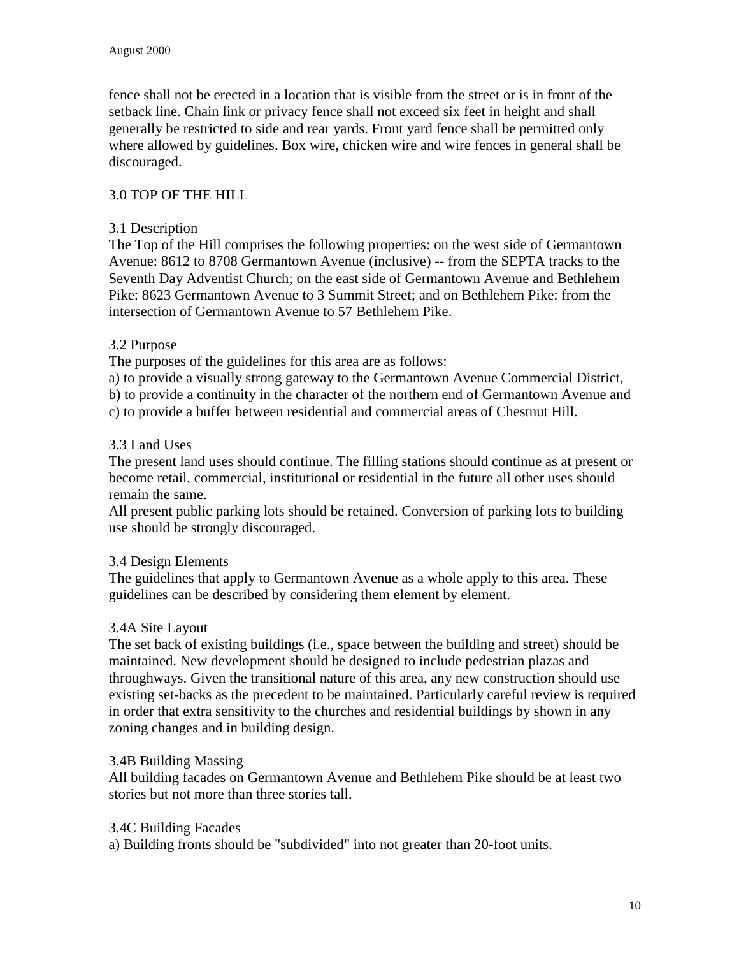fence shall not be erected in a location that is visible from the street or is in front of the setback line. Chain link or privacy fence shall not exceed six feet in height and shall generally be restricted to side and rear yards. Front yard fence shall be permitted only where allowed by guidelines. Box wire, chicken wire and wire fences in general shall be discouraged.

## 3.0 TOP OF THE HILL

### 3.1 Description

The Top of the Hill comprises the following properties: on the west side of Germantown Avenue: 8612 to 8708 Germantown Avenue (inclusive) -- from the SEPTA tracks to the Seventh Day Adventist Church; on the east side of Germantown Avenue and Bethlehem Pike: 8623 Germantown Avenue to 3 Summit Street; and on Bethlehem Pike: from the intersection of Germantown Avenue to 57 Bethlehem Pike.

## 3.2 Purpose

The purposes of the guidelines for this area are as follows:

a) to provide a visually strong gateway to the Germantown Avenue Commercial District,

b) to provide a continuity in the character of the northern end of Germantown Avenue and

c) to provide a buffer between residential and commercial areas of Chestnut Hill.

#### 3.3 Land Uses

The present land uses should continue. The filling stations should continue as at present or become retail, commercial, institutional or residential in the future all other uses should remain the same.

All present public parking lots should be retained. Conversion of parking lots to building use should be strongly discouraged.

## 3.4 Design Elements

The guidelines that apply to Germantown Avenue as a whole apply to this area. These guidelines can be described by considering them element by element.

## 3.4A Site Layout

The set back of existing buildings (i.e., space between the building and street) should be maintained. New development should be designed to include pedestrian plazas and throughways. Given the transitional nature of this area, any new construction should use existing set-backs as the precedent to be maintained. Particularly careful review is required in order that extra sensitivity to the churches and residential buildings by shown in any zoning changes and in building design.

## 3.4B Building Massing

All building facades on Germantown Avenue and Bethlehem Pike should be at least two stories but not more than three stories tall.

#### 3.4C Building Facades

a) Building fronts should be "subdivided" into not greater than 20-foot units.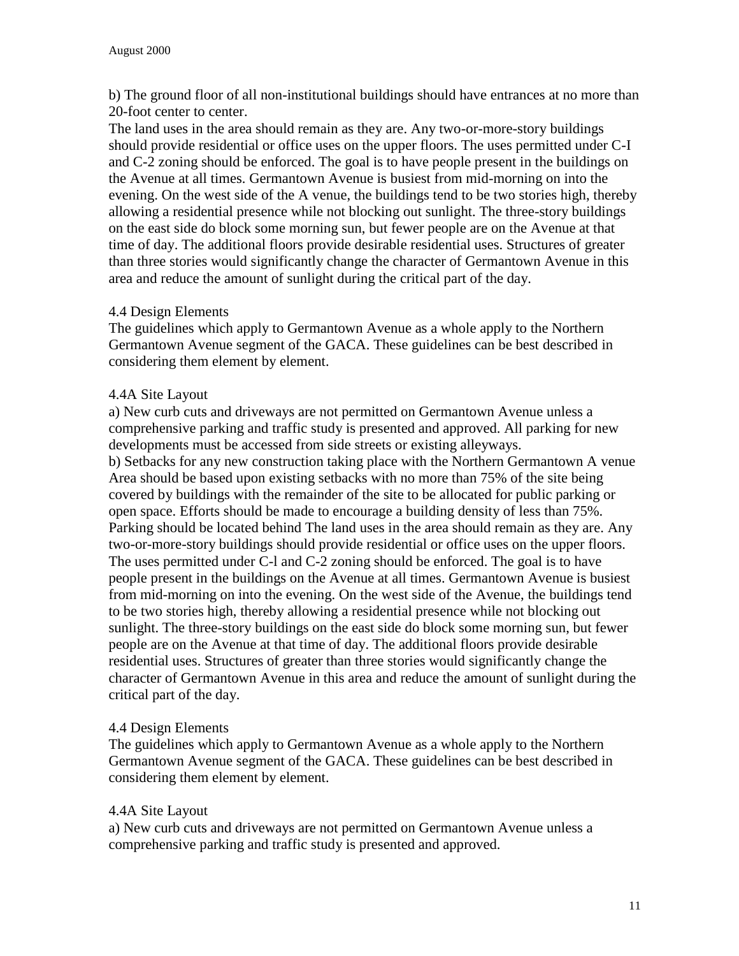b) The ground floor of all non-institutional buildings should have entrances at no more than 20-foot center to center.

The land uses in the area should remain as they are. Any two-or-more-story buildings should provide residential or office uses on the upper floors. The uses permitted under C-I and C-2 zoning should be enforced. The goal is to have people present in the buildings on the Avenue at all times. Germantown Avenue is busiest from mid-morning on into the evening. On the west side of the A venue, the buildings tend to be two stories high, thereby allowing a residential presence while not blocking out sunlight. The three-story buildings on the east side do block some morning sun, but fewer people are on the Avenue at that time of day. The additional floors provide desirable residential uses. Structures of greater than three stories would significantly change the character of Germantown Avenue in this area and reduce the amount of sunlight during the critical part of the day.

## 4.4 Design Elements

The guidelines which apply to Germantown Avenue as a whole apply to the Northern Germantown Avenue segment of the GACA. These guidelines can be best described in considering them element by element.

## 4.4A Site Layout

a) New curb cuts and driveways are not permitted on Germantown Avenue unless a comprehensive parking and traffic study is presented and approved. All parking for new developments must be accessed from side streets or existing alleyways. b) Setbacks for any new construction taking place with the Northern Germantown A venue Area should be based upon existing setbacks with no more than 75% of the site being covered by buildings with the remainder of the site to be allocated for public parking or open space. Efforts should be made to encourage a building density of less than 75%. Parking should be located behind The land uses in the area should remain as they are. Any two-or-more-story buildings should provide residential or office uses on the upper floors. The uses permitted under C-l and C-2 zoning should be enforced. The goal is to have people present in the buildings on the Avenue at all times. Germantown Avenue is busiest from mid-morning on into the evening. On the west side of the Avenue, the buildings tend to be two stories high, thereby allowing a residential presence while not blocking out sunlight. The three-story buildings on the east side do block some morning sun, but fewer people are on the Avenue at that time of day. The additional floors provide desirable residential uses. Structures of greater than three stories would significantly change the character of Germantown Avenue in this area and reduce the amount of sunlight during the critical part of the day.

## 4.4 Design Elements

The guidelines which apply to Germantown Avenue as a whole apply to the Northern Germantown Avenue segment of the GACA. These guidelines can be best described in considering them element by element.

## 4.4A Site Layout

a) New curb cuts and driveways are not permitted on Germantown Avenue unless a comprehensive parking and traffic study is presented and approved.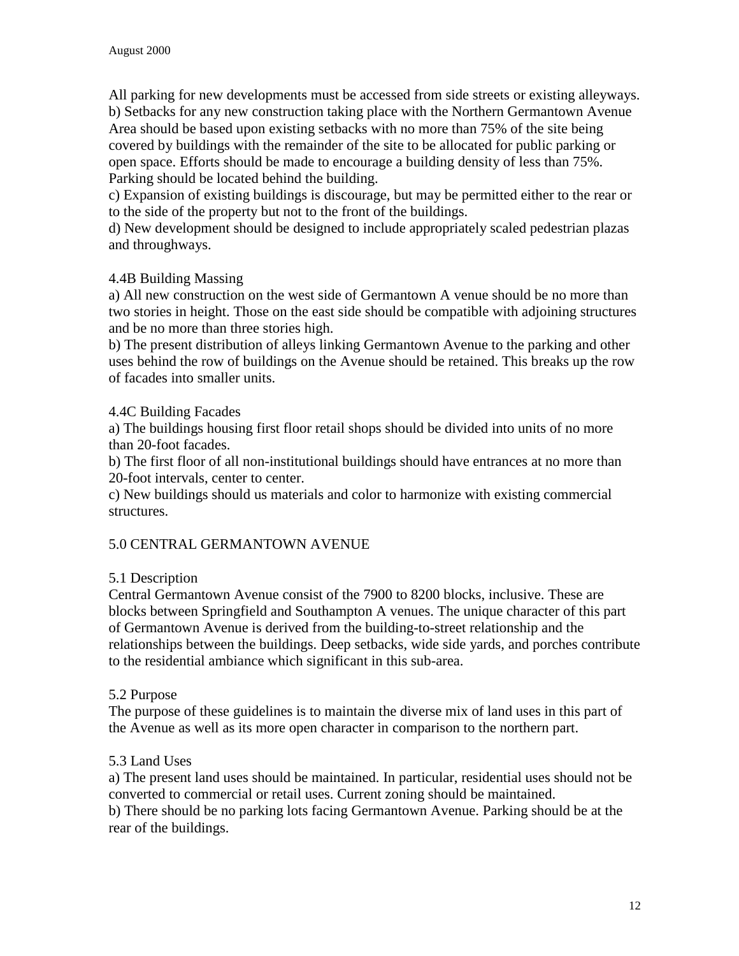All parking for new developments must be accessed from side streets or existing alleyways. b) Setbacks for any new construction taking place with the Northern Germantown Avenue Area should be based upon existing setbacks with no more than 75% of the site being covered by buildings with the remainder of the site to be allocated for public parking or open space. Efforts should be made to encourage a building density of less than 75%. Parking should be located behind the building.

c) Expansion of existing buildings is discourage, but may be permitted either to the rear or to the side of the property but not to the front of the buildings.

d) New development should be designed to include appropriately scaled pedestrian plazas and throughways.

## 4.4B Building Massing

a) All new construction on the west side of Germantown A venue should be no more than two stories in height. Those on the east side should be compatible with adjoining structures and be no more than three stories high.

b) The present distribution of alleys linking Germantown Avenue to the parking and other uses behind the row of buildings on the Avenue should be retained. This breaks up the row of facades into smaller units.

# 4.4C Building Facades

a) The buildings housing first floor retail shops should be divided into units of no more than 20-foot facades.

b) The first floor of all non-institutional buildings should have entrances at no more than 20-foot intervals, center to center.

c) New buildings should us materials and color to harmonize with existing commercial structures.

# 5.0 CENTRAL GERMANTOWN AVENUE

## 5.1 Description

Central Germantown Avenue consist of the 7900 to 8200 blocks, inclusive. These are blocks between Springfield and Southampton A venues. The unique character of this part of Germantown Avenue is derived from the building-to-street relationship and the relationships between the buildings. Deep setbacks, wide side yards, and porches contribute to the residential ambiance which significant in this sub-area.

## 5.2 Purpose

The purpose of these guidelines is to maintain the diverse mix of land uses in this part of the Avenue as well as its more open character in comparison to the northern part.

## 5.3 Land Uses

a) The present land uses should be maintained. In particular, residential uses should not be converted to commercial or retail uses. Current zoning should be maintained. b) There should be no parking lots facing Germantown Avenue. Parking should be at the rear of the buildings.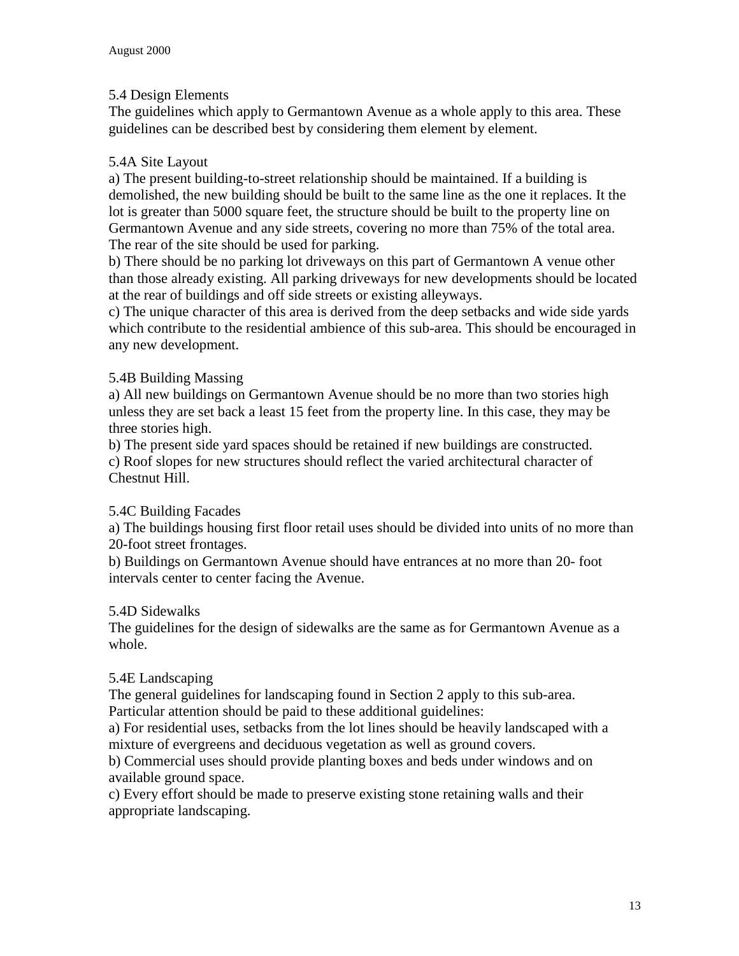## 5.4 Design Elements

The guidelines which apply to Germantown Avenue as a whole apply to this area. These guidelines can be described best by considering them element by element.

### 5.4A Site Layout

a) The present building-to-street relationship should be maintained. If a building is demolished, the new building should be built to the same line as the one it replaces. It the lot is greater than 5000 square feet, the structure should be built to the property line on Germantown Avenue and any side streets, covering no more than 75% of the total area. The rear of the site should be used for parking.

b) There should be no parking lot driveways on this part of Germantown A venue other than those already existing. All parking driveways for new developments should be located at the rear of buildings and off side streets or existing alleyways.

c) The unique character of this area is derived from the deep setbacks and wide side yards which contribute to the residential ambience of this sub-area. This should be encouraged in any new development.

#### 5.4B Building Massing

a) All new buildings on Germantown Avenue should be no more than two stories high unless they are set back a least 15 feet from the property line. In this case, they may be three stories high.

b) The present side yard spaces should be retained if new buildings are constructed. c) Roof slopes for new structures should reflect the varied architectural character of Chestnut Hill.

## 5.4C Building Facades

a) The buildings housing first floor retail uses should be divided into units of no more than 20-foot street frontages.

b) Buildings on Germantown Avenue should have entrances at no more than 20- foot intervals center to center facing the Avenue.

#### 5.4D Sidewalks

The guidelines for the design of sidewalks are the same as for Germantown Avenue as a whole.

#### 5.4E Landscaping

The general guidelines for landscaping found in Section 2 apply to this sub-area. Particular attention should be paid to these additional guidelines:

a) For residential uses, setbacks from the lot lines should be heavily landscaped with a mixture of evergreens and deciduous vegetation as well as ground covers.

b) Commercial uses should provide planting boxes and beds under windows and on available ground space.

c) Every effort should be made to preserve existing stone retaining walls and their appropriate landscaping.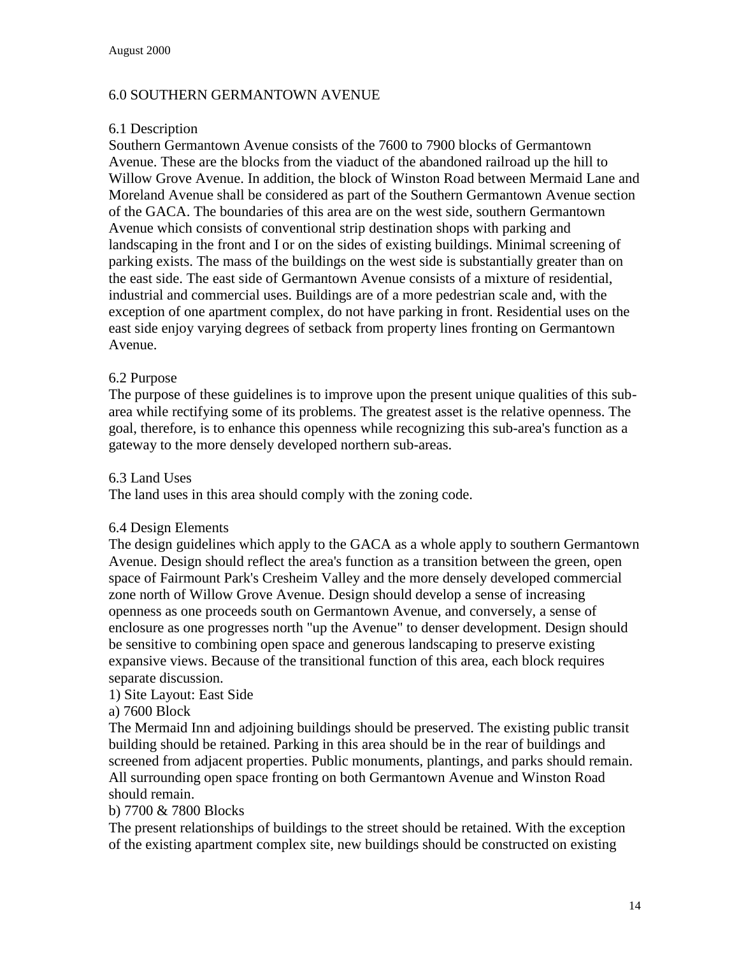#### 6.0 SOUTHERN GERMANTOWN AVENUE

#### 6.1 Description

Southern Germantown Avenue consists of the 7600 to 7900 blocks of Germantown Avenue. These are the blocks from the viaduct of the abandoned railroad up the hill to Willow Grove Avenue. In addition, the block of Winston Road between Mermaid Lane and Moreland Avenue shall be considered as part of the Southern Germantown Avenue section of the GACA. The boundaries of this area are on the west side, southern Germantown Avenue which consists of conventional strip destination shops with parking and landscaping in the front and I or on the sides of existing buildings. Minimal screening of parking exists. The mass of the buildings on the west side is substantially greater than on the east side. The east side of Germantown Avenue consists of a mixture of residential, industrial and commercial uses. Buildings are of a more pedestrian scale and, with the exception of one apartment complex, do not have parking in front. Residential uses on the east side enjoy varying degrees of setback from property lines fronting on Germantown Avenue.

#### 6.2 Purpose

The purpose of these guidelines is to improve upon the present unique qualities of this subarea while rectifying some of its problems. The greatest asset is the relative openness. The goal, therefore, is to enhance this openness while recognizing this sub-area's function as a gateway to the more densely developed northern sub-areas.

#### 6.3 Land Uses

The land uses in this area should comply with the zoning code.

#### 6.4 Design Elements

The design guidelines which apply to the GACA as a whole apply to southern Germantown Avenue. Design should reflect the area's function as a transition between the green, open space of Fairmount Park's Cresheim Valley and the more densely developed commercial zone north of Willow Grove Avenue. Design should develop a sense of increasing openness as one proceeds south on Germantown Avenue, and conversely, a sense of enclosure as one progresses north "up the Avenue" to denser development. Design should be sensitive to combining open space and generous landscaping to preserve existing expansive views. Because of the transitional function of this area, each block requires separate discussion.

#### 1) Site Layout: East Side

a) 7600 Block

The Mermaid Inn and adjoining buildings should be preserved. The existing public transit building should be retained. Parking in this area should be in the rear of buildings and screened from adjacent properties. Public monuments, plantings, and parks should remain. All surrounding open space fronting on both Germantown Avenue and Winston Road should remain.

#### b) 7700 & 7800 Blocks

The present relationships of buildings to the street should be retained. With the exception of the existing apartment complex site, new buildings should be constructed on existing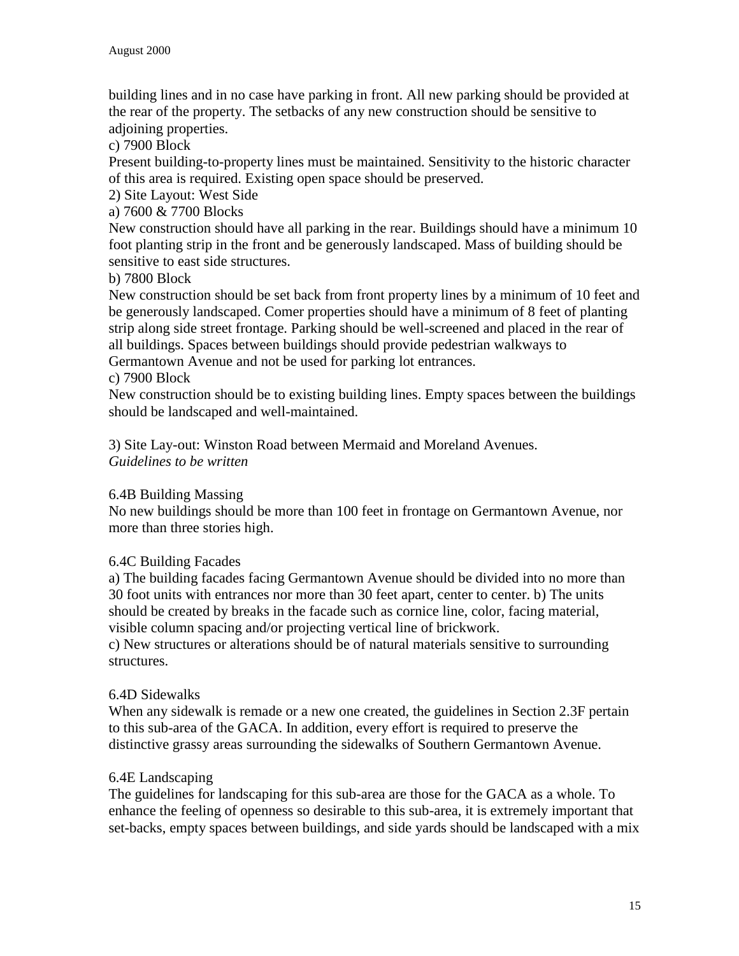building lines and in no case have parking in front. All new parking should be provided at the rear of the property. The setbacks of any new construction should be sensitive to adjoining properties.

c) 7900 Block

Present building-to-property lines must be maintained. Sensitivity to the historic character of this area is required. Existing open space should be preserved.

2) Site Layout: West Side

a) 7600 & 7700 Blocks

New construction should have all parking in the rear. Buildings should have a minimum 10 foot planting strip in the front and be generously landscaped. Mass of building should be sensitive to east side structures.

b) 7800 Block

New construction should be set back from front property lines by a minimum of 10 feet and be generously landscaped. Comer properties should have a minimum of 8 feet of planting strip along side street frontage. Parking should be well-screened and placed in the rear of all buildings. Spaces between buildings should provide pedestrian walkways to Germantown Avenue and not be used for parking lot entrances.

#### c) 7900 Block

New construction should be to existing building lines. Empty spaces between the buildings should be landscaped and well-maintained.

3) Site Lay-out: Winston Road between Mermaid and Moreland Avenues. *Guidelines to be written*

## 6.4B Building Massing

No new buildings should be more than 100 feet in frontage on Germantown Avenue, nor more than three stories high.

## 6.4C Building Facades

a) The building facades facing Germantown Avenue should be divided into no more than 30 foot units with entrances nor more than 30 feet apart, center to center. b) The units should be created by breaks in the facade such as cornice line, color, facing material, visible column spacing and/or projecting vertical line of brickwork.

c) New structures or alterations should be of natural materials sensitive to surrounding structures.

## 6.4D Sidewalks

When any sidewalk is remade or a new one created, the guidelines in Section 2.3F pertain to this sub-area of the GACA. In addition, every effort is required to preserve the distinctive grassy areas surrounding the sidewalks of Southern Germantown Avenue.

#### 6.4E Landscaping

The guidelines for landscaping for this sub-area are those for the GACA as a whole. To enhance the feeling of openness so desirable to this sub-area, it is extremely important that set-backs, empty spaces between buildings, and side yards should be landscaped with a mix